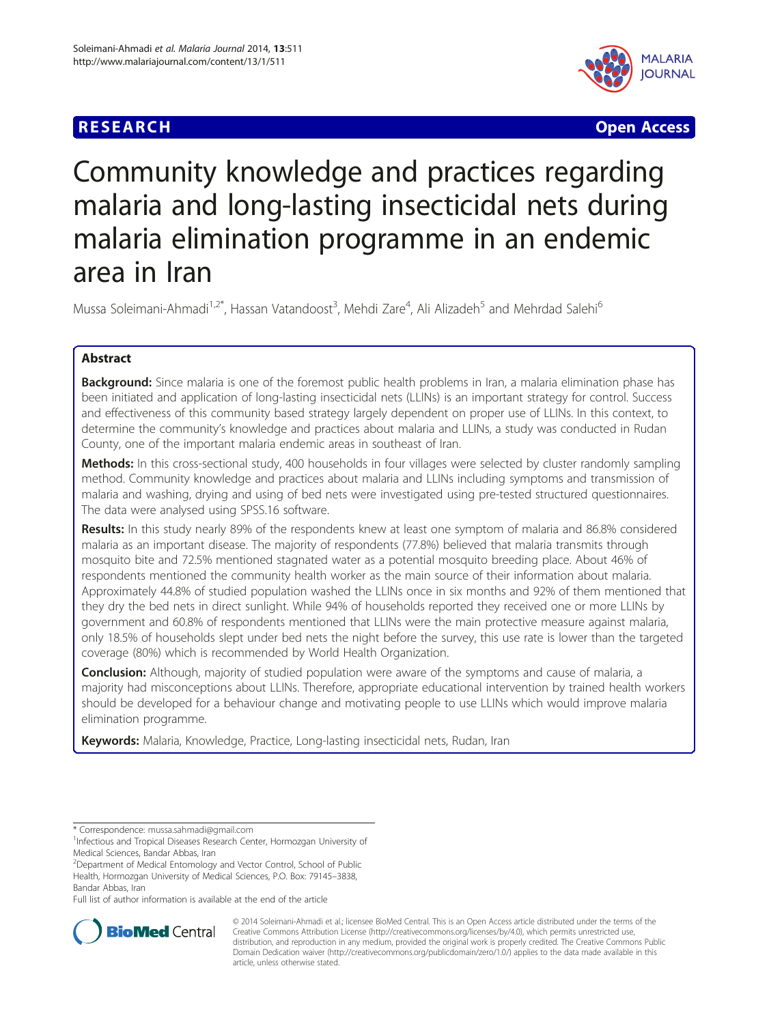# **RESEARCH CHEAR CHEAR CHEAR CHEAR CHEAR CHEAR CHEAR CHEAR CHEAR CHEAR CHEAR CHEAR CHEAR CHEAR CHEAR CHEAR CHEAR**



# Community knowledge and practices regarding malaria and long-lasting insecticidal nets during malaria elimination programme in an endemic area in Iran

Mussa Soleimani-Ahmadi<sup>1,2\*</sup>, Hassan Vatandoost<sup>3</sup>, Mehdi Zare<sup>4</sup>, Ali Alizadeh<sup>5</sup> and Mehrdad Salehi<sup>6</sup>

# Abstract

**Background:** Since malaria is one of the foremost public health problems in Iran, a malaria elimination phase has been initiated and application of long-lasting insecticidal nets (LLINs) is an important strategy for control. Success and effectiveness of this community based strategy largely dependent on proper use of LLINs. In this context, to determine the community's knowledge and practices about malaria and LLINs, a study was conducted in Rudan County, one of the important malaria endemic areas in southeast of Iran.

Methods: In this cross-sectional study, 400 households in four villages were selected by cluster randomly sampling method. Community knowledge and practices about malaria and LLINs including symptoms and transmission of malaria and washing, drying and using of bed nets were investigated using pre-tested structured questionnaires. The data were analysed using SPSS.16 software.

Results: In this study nearly 89% of the respondents knew at least one symptom of malaria and 86.8% considered malaria as an important disease. The majority of respondents (77.8%) believed that malaria transmits through mosquito bite and 72.5% mentioned stagnated water as a potential mosquito breeding place. About 46% of respondents mentioned the community health worker as the main source of their information about malaria. Approximately 44.8% of studied population washed the LLINs once in six months and 92% of them mentioned that they dry the bed nets in direct sunlight. While 94% of households reported they received one or more LLINs by government and 60.8% of respondents mentioned that LLINs were the main protective measure against malaria, only 18.5% of households slept under bed nets the night before the survey, this use rate is lower than the targeted coverage (80%) which is recommended by World Health Organization.

**Conclusion:** Although, majority of studied population were aware of the symptoms and cause of malaria, a majority had misconceptions about LLINs. Therefore, appropriate educational intervention by trained health workers should be developed for a behaviour change and motivating people to use LLINs which would improve malaria elimination programme.

Keywords: Malaria, Knowledge, Practice, Long-lasting insecticidal nets, Rudan, Iran

\* Correspondence: [mussa.sahmadi@gmail.com](mailto:mussa.sahmadi@gmail.com) <sup>1</sup>

<sup>2</sup> Department of Medical Entomology and Vector Control, School of Public Health, Hormozgan University of Medical Sciences, P.O. Box: 79145–3838, Bandar Abbas, Iran

Full list of author information is available at the end of the article



© 2014 Soleimani-Ahmadi et al.; licensee BioMed Central. This is an Open Access article distributed under the terms of the Creative Commons Attribution License (<http://creativecommons.org/licenses/by/4.0>), which permits unrestricted use, distribution, and reproduction in any medium, provided the original work is properly credited. The Creative Commons Public Domain Dedication waiver [\(http://creativecommons.org/publicdomain/zero/1.0/\)](http://creativecommons.org/publicdomain/zero/1.0/) applies to the data made available in this article, unless otherwise stated.

<sup>&</sup>lt;sup>1</sup>Infectious and Tropical Diseases Research Center, Hormozgan University of Medical Sciences, Bandar Abbas, Iran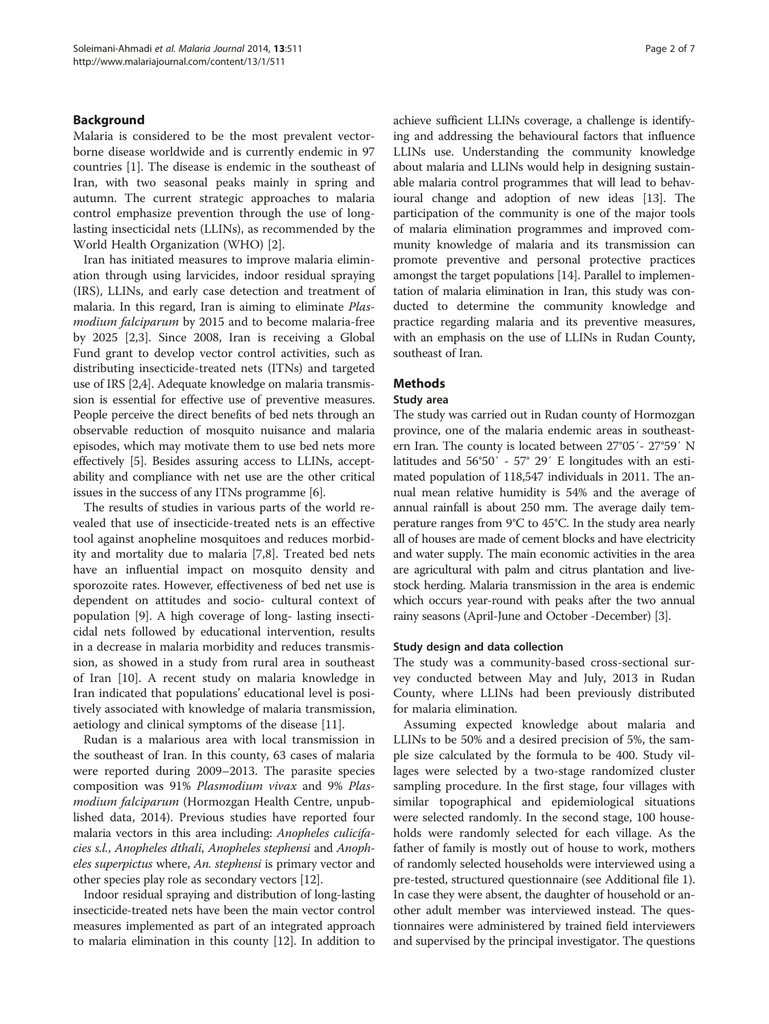#### Background

Malaria is considered to be the most prevalent vectorborne disease worldwide and is currently endemic in 97 countries [[1\]](#page-6-0). The disease is endemic in the southeast of Iran, with two seasonal peaks mainly in spring and autumn. The current strategic approaches to malaria control emphasize prevention through the use of longlasting insecticidal nets (LLINs), as recommended by the World Health Organization (WHO) [[2](#page-6-0)].

Iran has initiated measures to improve malaria elimination through using larvicides, indoor residual spraying (IRS), LLINs, and early case detection and treatment of malaria. In this regard, Iran is aiming to eliminate Plasmodium falciparum by 2015 and to become malaria-free by 2025 [[2,3\]](#page-6-0). Since 2008, Iran is receiving a Global Fund grant to develop vector control activities, such as distributing insecticide-treated nets (ITNs) and targeted use of IRS [[2,4](#page-6-0)]. Adequate knowledge on malaria transmission is essential for effective use of preventive measures. People perceive the direct benefits of bed nets through an observable reduction of mosquito nuisance and malaria episodes, which may motivate them to use bed nets more effectively [[5](#page-6-0)]. Besides assuring access to LLINs, acceptability and compliance with net use are the other critical issues in the success of any ITNs programme [\[6](#page-6-0)].

The results of studies in various parts of the world revealed that use of insecticide-treated nets is an effective tool against anopheline mosquitoes and reduces morbidity and mortality due to malaria [\[7](#page-6-0),[8](#page-6-0)]. Treated bed nets have an influential impact on mosquito density and sporozoite rates. However, effectiveness of bed net use is dependent on attitudes and socio- cultural context of population [[9\]](#page-6-0). A high coverage of long- lasting insecticidal nets followed by educational intervention, results in a decrease in malaria morbidity and reduces transmission, as showed in a study from rural area in southeast of Iran [\[10](#page-6-0)]. A recent study on malaria knowledge in Iran indicated that populations' educational level is positively associated with knowledge of malaria transmission, aetiology and clinical symptoms of the disease [\[11\]](#page-6-0).

Rudan is a malarious area with local transmission in the southeast of Iran. In this county, 63 cases of malaria were reported during 2009–2013. The parasite species composition was 91% Plasmodium vivax and 9% Plasmodium falciparum (Hormozgan Health Centre, unpublished data, 2014). Previous studies have reported four malaria vectors in this area including: Anopheles culicifacies s.l., Anopheles dthali, Anopheles stephensi and Anopheles superpictus where, An. stephensi is primary vector and other species play role as secondary vectors [\[12](#page-6-0)].

Indoor residual spraying and distribution of long-lasting insecticide-treated nets have been the main vector control measures implemented as part of an integrated approach to malaria elimination in this county [[12](#page-6-0)]. In addition to

achieve sufficient LLINs coverage, a challenge is identifying and addressing the behavioural factors that influence LLINs use. Understanding the community knowledge about malaria and LLINs would help in designing sustainable malaria control programmes that will lead to behavioural change and adoption of new ideas [\[13\]](#page-6-0). The participation of the community is one of the major tools of malaria elimination programmes and improved community knowledge of malaria and its transmission can promote preventive and personal protective practices amongst the target populations [[14](#page-6-0)]. Parallel to implementation of malaria elimination in Iran, this study was conducted to determine the community knowledge and practice regarding malaria and its preventive measures, with an emphasis on the use of LLINs in Rudan County, southeast of Iran.

# Methods

#### Study area

The study was carried out in Rudan county of Hormozgan province, one of the malaria endemic areas in southeastern Iran. The county is located between 27°05′- 27°59′ N latitudes and 56°50′ - 57° 29′ E longitudes with an estimated population of 118,547 individuals in 2011. The annual mean relative humidity is 54% and the average of annual rainfall is about 250 mm. The average daily temperature ranges from 9°C to 45°C. In the study area nearly all of houses are made of cement blocks and have electricity and water supply. The main economic activities in the area are agricultural with palm and citrus plantation and livestock herding. Malaria transmission in the area is endemic which occurs year-round with peaks after the two annual rainy seasons (April-June and October -December) [\[3\]](#page-6-0).

#### Study design and data collection

The study was a community-based cross-sectional survey conducted between May and July, 2013 in Rudan County, where LLINs had been previously distributed for malaria elimination.

Assuming expected knowledge about malaria and LLINs to be 50% and a desired precision of 5%, the sample size calculated by the formula to be 400. Study villages were selected by a two-stage randomized cluster sampling procedure. In the first stage, four villages with similar topographical and epidemiological situations were selected randomly. In the second stage, 100 households were randomly selected for each village. As the father of family is mostly out of house to work, mothers of randomly selected households were interviewed using a pre-tested, structured questionnaire (see Additional file [1](#page-5-0)). In case they were absent, the daughter of household or another adult member was interviewed instead. The questionnaires were administered by trained field interviewers and supervised by the principal investigator. The questions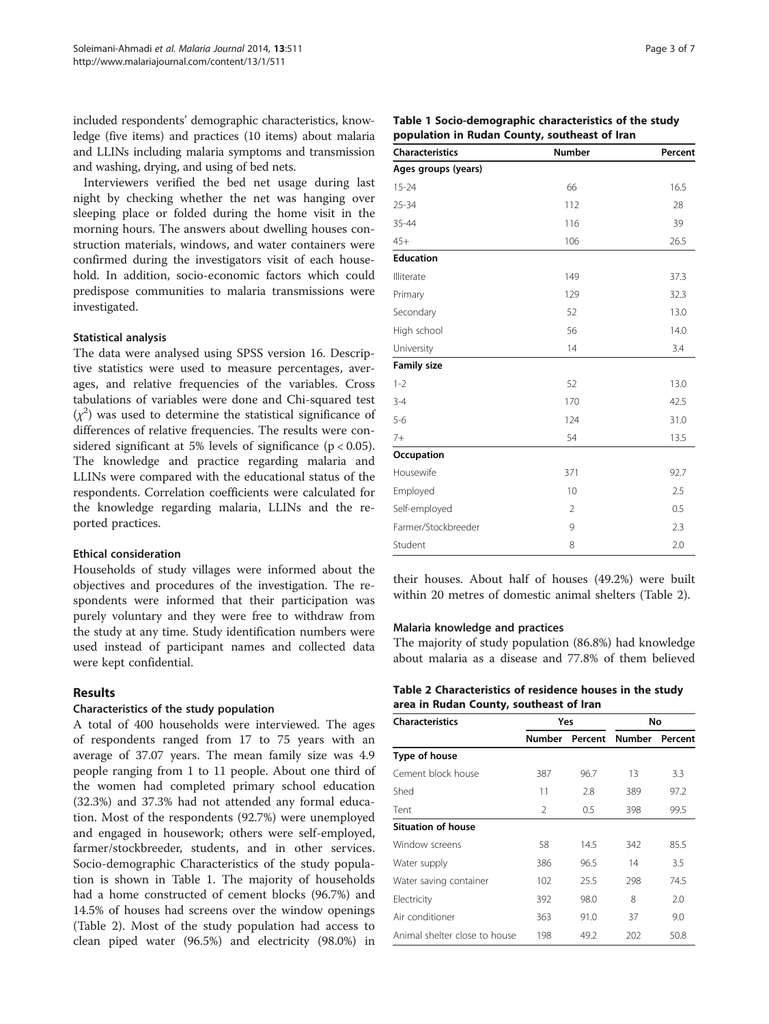included respondents' demographic characteristics, knowledge (five items) and practices (10 items) about malaria and LLINs including malaria symptoms and transmission and washing, drying, and using of bed nets.

Interviewers verified the bed net usage during last night by checking whether the net was hanging over sleeping place or folded during the home visit in the morning hours. The answers about dwelling houses construction materials, windows, and water containers were confirmed during the investigators visit of each household. In addition, socio-economic factors which could predispose communities to malaria transmissions were investigated.

#### Statistical analysis

The data were analysed using SPSS version 16. Descriptive statistics were used to measure percentages, averages, and relative frequencies of the variables. Cross tabulations of variables were done and Chi-squared test  $(\chi^2)$  was used to determine the statistical significance of differences of relative frequencies. The results were considered significant at 5% levels of significance ( $p < 0.05$ ). The knowledge and practice regarding malaria and LLINs were compared with the educational status of the respondents. Correlation coefficients were calculated for the knowledge regarding malaria, LLINs and the reported practices.

# Ethical consideration

Households of study villages were informed about the objectives and procedures of the investigation. The respondents were informed that their participation was purely voluntary and they were free to withdraw from the study at any time. Study identification numbers were used instead of participant names and collected data were kept confidential.

# Results

# Characteristics of the study population

A total of 400 households were interviewed. The ages of respondents ranged from 17 to 75 years with an average of 37.07 years. The mean family size was 4.9 people ranging from 1 to 11 people. About one third of the women had completed primary school education (32.3%) and 37.3% had not attended any formal education. Most of the respondents (92.7%) were unemployed and engaged in housework; others were self-employed, farmer/stockbreeder, students, and in other services. Socio-demographic Characteristics of the study population is shown in Table 1. The majority of households had a home constructed of cement blocks (96.7%) and 14.5% of houses had screens over the window openings (Table 2). Most of the study population had access to clean piped water (96.5%) and electricity (98.0%) in

| Table 1 Socio-demographic characteristics of the study |  |
|--------------------------------------------------------|--|
| population in Rudan County, southeast of Iran          |  |

| <b>Characteristics</b> | <b>Number</b>  | Percent |
|------------------------|----------------|---------|
| Ages groups (years)    |                |         |
| $15 - 24$              | 66             | 16.5    |
| $25 - 34$              | 112            | 28      |
| 35-44                  | 116            | 39      |
| $45+$                  | 106            | 26.5    |
| <b>Education</b>       |                |         |
| Illiterate             | 149            | 37.3    |
| Primary                | 129            | 32.3    |
| Secondary              | 52             | 13.0    |
| High school            | 56             | 14.0    |
| University             | 14             | 3.4     |
| <b>Family size</b>     |                |         |
| $1 - 2$                | 52             | 13.0    |
| $3 - 4$                | 170            | 42.5    |
| $5 - 6$                | 124            | 31.0    |
| $7+$                   | 54             | 13.5    |
| Occupation             |                |         |
| Housewife              | 371            | 92.7    |
| Employed               | 10             | 2.5     |
| Self-employed          | $\overline{2}$ | 0.5     |
| Farmer/Stockbreeder    | 9              | 2.3     |
| Student                | 8              | 2.0     |

their houses. About half of houses (49.2%) were built within 20 metres of domestic animal shelters (Table 2).

#### Malaria knowledge and practices

The majority of study population (86.8%) had knowledge about malaria as a disease and 77.8% of them believed

| Table 2 Characteristics of residence houses in the study |  |  |
|----------------------------------------------------------|--|--|
| area in Rudan County, southeast of Iran                  |  |  |

| <b>Characteristics</b>        | Yes           |         | No            |         |
|-------------------------------|---------------|---------|---------------|---------|
|                               | <b>Number</b> | Percent | <b>Number</b> | Percent |
| Type of house                 |               |         |               |         |
| Cement block house            | 387           | 96.7    | 13            | 3.3     |
| Shed                          | 11            | 2.8     | 389           | 97.2    |
| Tent                          | $\mathcal{P}$ | 0.5     | 398           | 99.5    |
| <b>Situation of house</b>     |               |         |               |         |
| Window screens                | 58            | 14.5    | 342           | 85.5    |
| Water supply                  | 386           | 96.5    | 14            | 3.5     |
| Water saving container        | 102           | 25.5    | 298           | 74.5    |
| Electricity                   | 392           | 98.0    | 8             | 2.0     |
| Air conditioner               | 363           | 91.0    | 37            | 9.0     |
| Animal shelter close to house | 198           | 49.2    | 202           | 50.8    |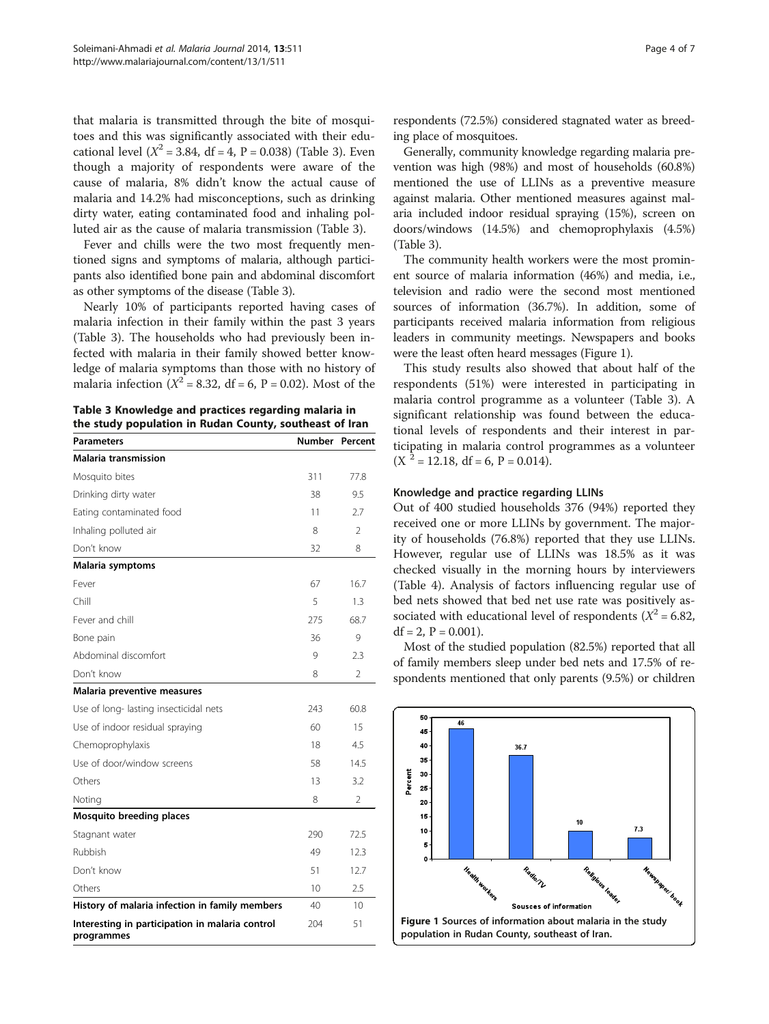<span id="page-3-0"></span>that malaria is transmitted through the bite of mosquitoes and this was significantly associated with their educational level ( $X^2 = 3.84$ , df = 4, P = 0.038) (Table 3). Even though a majority of respondents were aware of the cause of malaria, 8% didn't know the actual cause of malaria and 14.2% had misconceptions, such as drinking dirty water, eating contaminated food and inhaling polluted air as the cause of malaria transmission (Table 3).

Fever and chills were the two most frequently mentioned signs and symptoms of malaria, although participants also identified bone pain and abdominal discomfort as other symptoms of the disease (Table 3).

Nearly 10% of participants reported having cases of malaria infection in their family within the past 3 years (Table 3). The households who had previously been infected with malaria in their family showed better knowledge of malaria symptoms than those with no history of malaria infection ( $X^2$  = 8.32, df = 6, P = 0.02). Most of the

Table 3 Knowledge and practices regarding malaria in the study population in Rudan County, southeast of Iran

| the study population in nuuan County, southeast of han        |        |                |
|---------------------------------------------------------------|--------|----------------|
| <b>Parameters</b>                                             | Number | Percent        |
| <b>Malaria transmission</b>                                   |        |                |
| Mosquito bites                                                | 311    | 77.8           |
| Drinking dirty water                                          | 38     | 9.5            |
| Eating contaminated food                                      | 11     | 2.7            |
| Inhaling polluted air                                         | 8      | $\mathfrak{D}$ |
| Don't know                                                    | 32     | 8              |
| Malaria symptoms                                              |        |                |
| Fever                                                         | 67     | 16.7           |
| Chill                                                         | 5      | 1.3            |
| Fever and chill                                               | 275    | 68.7           |
| Bone pain                                                     | 36     | 9              |
| Abdominal discomfort                                          | 9      | 2.3            |
| Don't know                                                    | 8      | $\overline{2}$ |
| Malaria preventive measures                                   |        |                |
| Use of long-lasting insecticidal nets                         | 243    | 60.8           |
| Use of indoor residual spraying                               | 60     | 15             |
| Chemoprophylaxis                                              | 18     | 4.5            |
| Use of door/window screens                                    | 58     | 14.5           |
| Others                                                        | 13     | 3.2            |
| Noting                                                        | 8      | $\overline{2}$ |
| Mosquito breeding places                                      |        |                |
| Stagnant water                                                | 290    | 72.5           |
| Rubbish                                                       | 49     | 12.3           |
| Don't know                                                    | 51     | 12.7           |
| Others                                                        | 10     | 2.5            |
| History of malaria infection in family members                | 40     | 10             |
| Interesting in participation in malaria control<br>programmes | 204    | 51             |

respondents (72.5%) considered stagnated water as breeding place of mosquitoes.

Generally, community knowledge regarding malaria prevention was high (98%) and most of households (60.8%) mentioned the use of LLINs as a preventive measure against malaria. Other mentioned measures against malaria included indoor residual spraying (15%), screen on doors/windows (14.5%) and chemoprophylaxis (4.5%) (Table 3).

The community health workers were the most prominent source of malaria information (46%) and media, i.e., television and radio were the second most mentioned sources of information (36.7%). In addition, some of participants received malaria information from religious leaders in community meetings. Newspapers and books were the least often heard messages (Figure 1).

This study results also showed that about half of the respondents (51%) were interested in participating in malaria control programme as a volunteer (Table 3). A significant relationship was found between the educational levels of respondents and their interest in participating in malaria control programmes as a volunteer  $(X^2 = 12.18, df = 6, P = 0.014).$ 

#### Knowledge and practice regarding LLINs

Out of 400 studied households 376 (94%) reported they received one or more LLINs by government. The majority of households (76.8%) reported that they use LLINs. However, regular use of LLINs was 18.5% as it was checked visually in the morning hours by interviewers (Table [4](#page-4-0)). Analysis of factors influencing regular use of bed nets showed that bed net use rate was positively associated with educational level of respondents ( $X^2 = 6.82$ ,  $df = 2$ ,  $P = 0.001$ ).

Most of the studied population (82.5%) reported that all of family members sleep under bed nets and 17.5% of respondents mentioned that only parents (9.5%) or children

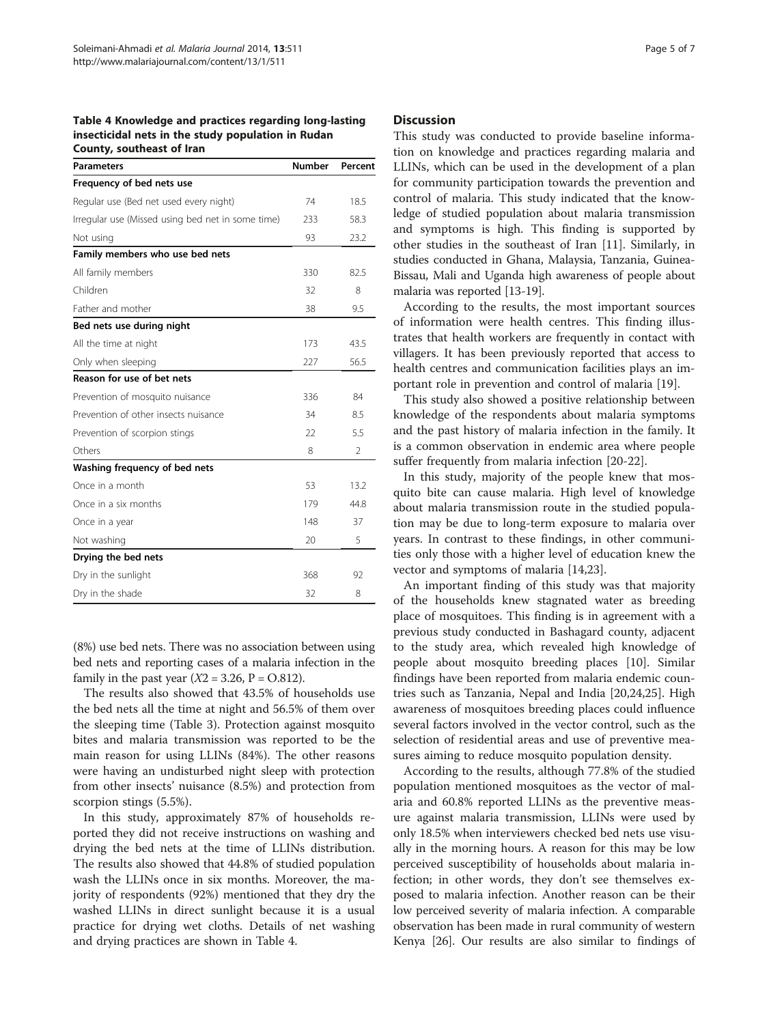<span id="page-4-0"></span>Table 4 Knowledge and practices regarding long-lasting insecticidal nets in the study population in Rudan County, southeast of Iran

| <b>Parameters</b>                                 | <b>Number</b> | Percent        |
|---------------------------------------------------|---------------|----------------|
| Frequency of bed nets use                         |               |                |
| Regular use (Bed net used every night)            | 74            | 18.5           |
| Irregular use (Missed using bed net in some time) | 233           | 58.3           |
| Not using                                         | 93            | 23.2           |
| Family members who use bed nets                   |               |                |
| All family members                                | 330           | 82.5           |
| Children                                          | 32            | 8              |
| Father and mother                                 | 38            | 9.5            |
| Bed nets use during night                         |               |                |
| All the time at night                             | 173           | 43.5           |
| Only when sleeping                                | 227           | 56.5           |
| Reason for use of bet nets                        |               |                |
| Prevention of mosquito nuisance                   | 336           | 84             |
| Prevention of other insects nuisance              | 34            | 8.5            |
| Prevention of scorpion stings                     | 22            | 5.5            |
| Others                                            | 8             | $\overline{2}$ |
| Washing frequency of bed nets                     |               |                |
| Once in a month                                   | 53            | 13.2           |
| Once in a six months                              | 179           | 44.8           |
| Once in a year                                    | 148           | 37             |
| Not washing                                       | 20            | 5              |
| Drying the bed nets                               |               |                |
| Dry in the sunlight                               | 368           | 92             |
| Dry in the shade                                  | 32            | 8              |

(8%) use bed nets. There was no association between using bed nets and reporting cases of a malaria infection in the family in the past year  $(X2 = 3.26, P = 0.812)$ .

The results also showed that 43.5% of households use the bed nets all the time at night and 56.5% of them over the sleeping time (Table [3](#page-3-0)). Protection against mosquito bites and malaria transmission was reported to be the main reason for using LLINs (84%). The other reasons were having an undisturbed night sleep with protection from other insects' nuisance (8.5%) and protection from scorpion stings (5.5%).

In this study, approximately 87% of households reported they did not receive instructions on washing and drying the bed nets at the time of LLINs distribution. The results also showed that 44.8% of studied population wash the LLINs once in six months. Moreover, the majority of respondents (92%) mentioned that they dry the washed LLINs in direct sunlight because it is a usual practice for drying wet cloths. Details of net washing and drying practices are shown in Table 4.

#### **Discussion**

This study was conducted to provide baseline information on knowledge and practices regarding malaria and LLINs, which can be used in the development of a plan for community participation towards the prevention and control of malaria. This study indicated that the knowledge of studied population about malaria transmission and symptoms is high. This finding is supported by other studies in the southeast of Iran [[11](#page-6-0)]. Similarly, in studies conducted in Ghana, Malaysia, Tanzania, Guinea-Bissau, Mali and Uganda high awareness of people about malaria was reported [\[13-19\]](#page-6-0).

According to the results, the most important sources of information were health centres. This finding illustrates that health workers are frequently in contact with villagers. It has been previously reported that access to health centres and communication facilities plays an important role in prevention and control of malaria [[19\]](#page-6-0).

This study also showed a positive relationship between knowledge of the respondents about malaria symptoms and the past history of malaria infection in the family. It is a common observation in endemic area where people suffer frequently from malaria infection [[20-22](#page-6-0)].

In this study, majority of the people knew that mosquito bite can cause malaria. High level of knowledge about malaria transmission route in the studied population may be due to long-term exposure to malaria over years. In contrast to these findings, in other communities only those with a higher level of education knew the vector and symptoms of malaria [[14,23\]](#page-6-0).

An important finding of this study was that majority of the households knew stagnated water as breeding place of mosquitoes. This finding is in agreement with a previous study conducted in Bashagard county, adjacent to the study area, which revealed high knowledge of people about mosquito breeding places [\[10\]](#page-6-0). Similar findings have been reported from malaria endemic countries such as Tanzania, Nepal and India [[20,24,25\]](#page-6-0). High awareness of mosquitoes breeding places could influence several factors involved in the vector control, such as the selection of residential areas and use of preventive measures aiming to reduce mosquito population density.

According to the results, although 77.8% of the studied population mentioned mosquitoes as the vector of malaria and 60.8% reported LLINs as the preventive measure against malaria transmission, LLINs were used by only 18.5% when interviewers checked bed nets use visually in the morning hours. A reason for this may be low perceived susceptibility of households about malaria infection; in other words, they don't see themselves exposed to malaria infection. Another reason can be their low perceived severity of malaria infection. A comparable observation has been made in rural community of western Kenya [[26](#page-6-0)]. Our results are also similar to findings of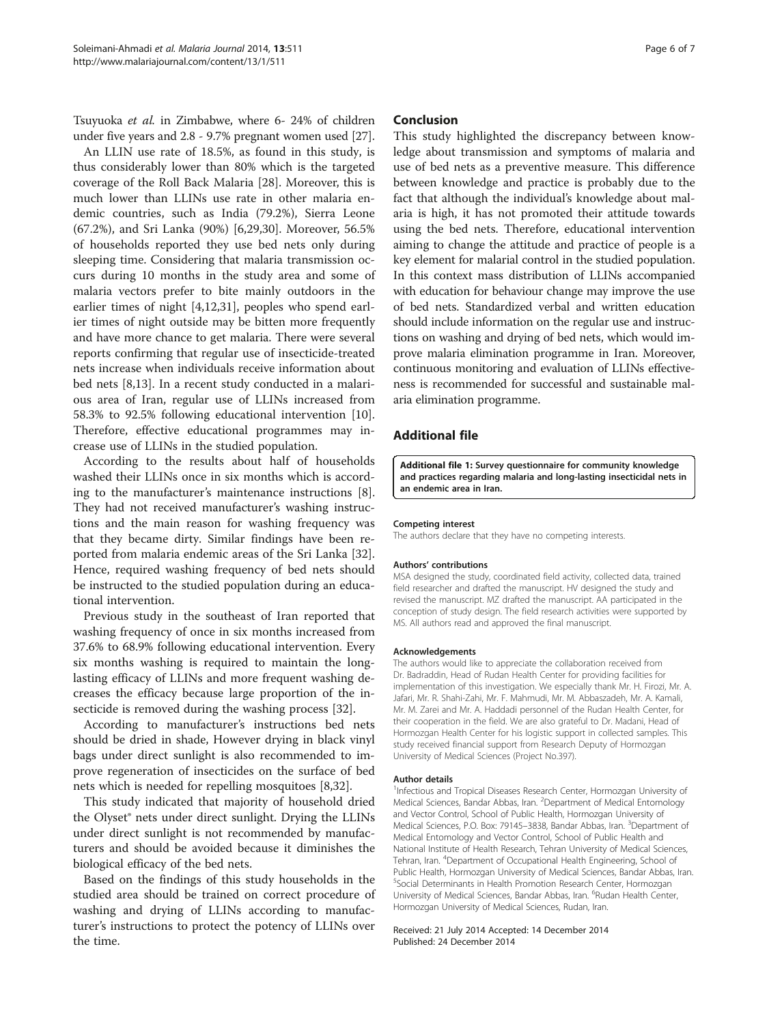<span id="page-5-0"></span>Tsuyuoka et al. in Zimbabwe, where 6- 24% of children under five years and 2.8 - 9.7% pregnant women used [\[27](#page-6-0)].

An LLIN use rate of 18.5%, as found in this study, is thus considerably lower than 80% which is the targeted coverage of the Roll Back Malaria [[28\]](#page-6-0). Moreover, this is much lower than LLINs use rate in other malaria endemic countries, such as India (79.2%), Sierra Leone (67.2%), and Sri Lanka (90%) [\[6,29,30\]](#page-6-0). Moreover, 56.5% of households reported they use bed nets only during sleeping time. Considering that malaria transmission occurs during 10 months in the study area and some of malaria vectors prefer to bite mainly outdoors in the earlier times of night [\[4,12,31](#page-6-0)], peoples who spend earlier times of night outside may be bitten more frequently and have more chance to get malaria. There were several reports confirming that regular use of insecticide-treated nets increase when individuals receive information about bed nets [[8,13\]](#page-6-0). In a recent study conducted in a malarious area of Iran, regular use of LLINs increased from 58.3% to 92.5% following educational intervention [\[10](#page-6-0)]. Therefore, effective educational programmes may increase use of LLINs in the studied population.

According to the results about half of households washed their LLINs once in six months which is according to the manufacturer's maintenance instructions [\[8](#page-6-0)]. They had not received manufacturer's washing instructions and the main reason for washing frequency was that they became dirty. Similar findings have been reported from malaria endemic areas of the Sri Lanka [\[32](#page-6-0)]. Hence, required washing frequency of bed nets should be instructed to the studied population during an educational intervention.

Previous study in the southeast of Iran reported that washing frequency of once in six months increased from 37.6% to 68.9% following educational intervention. Every six months washing is required to maintain the longlasting efficacy of LLINs and more frequent washing decreases the efficacy because large proportion of the insecticide is removed during the washing process [[32](#page-6-0)].

According to manufacturer's instructions bed nets should be dried in shade, However drying in black vinyl bags under direct sunlight is also recommended to improve regeneration of insecticides on the surface of bed nets which is needed for repelling mosquitoes [[8,32\]](#page-6-0).

This study indicated that majority of household dried the Olyset® nets under direct sunlight. Drying the LLINs under direct sunlight is not recommended by manufacturers and should be avoided because it diminishes the biological efficacy of the bed nets.

Based on the findings of this study households in the studied area should be trained on correct procedure of washing and drying of LLINs according to manufacturer's instructions to protect the potency of LLINs over the time.

#### Conclusion

This study highlighted the discrepancy between knowledge about transmission and symptoms of malaria and use of bed nets as a preventive measure. This difference between knowledge and practice is probably due to the fact that although the individual's knowledge about malaria is high, it has not promoted their attitude towards using the bed nets. Therefore, educational intervention aiming to change the attitude and practice of people is a key element for malarial control in the studied population. In this context mass distribution of LLINs accompanied with education for behaviour change may improve the use of bed nets. Standardized verbal and written education should include information on the regular use and instructions on washing and drying of bed nets, which would improve malaria elimination programme in Iran. Moreover, continuous monitoring and evaluation of LLINs effectiveness is recommended for successful and sustainable malaria elimination programme.

# Additional file

[Additional file 1:](http://www.biomedcentral.com/content/supplementary/1475-2875-13-511-S1.docx) Survey questionnaire for community knowledge and practices regarding malaria and long-lasting insecticidal nets in an endemic area in Iran.

#### Competing interest

The authors declare that they have no competing interests.

#### Authors' contributions

MSA designed the study, coordinated field activity, collected data, trained field researcher and drafted the manuscript. HV designed the study and revised the manuscript. MZ drafted the manuscript. AA participated in the conception of study design. The field research activities were supported by MS. All authors read and approved the final manuscript.

#### Acknowledgements

The authors would like to appreciate the collaboration received from Dr. Badraddin, Head of Rudan Health Center for providing facilities for implementation of this investigation. We especially thank Mr. H. Firozi, Mr. A. Jafari, Mr. R. Shahi-Zahi, Mr. F. Mahmudi, Mr. M. Abbaszadeh, Mr. A. Kamali, Mr. M. Zarei and Mr. A. Haddadi personnel of the Rudan Health Center, for their cooperation in the field. We are also grateful to Dr. Madani, Head of Hormozgan Health Center for his logistic support in collected samples. This study received financial support from Research Deputy of Hormozgan University of Medical Sciences (Project No.397).

#### Author details

<sup>1</sup>Infectious and Tropical Diseases Research Center, Hormozgan University of Medical Sciences, Bandar Abbas, Iran. <sup>2</sup>Department of Medical Entomology and Vector Control, School of Public Health, Hormozgan University of Medical Sciences, P.O. Box: 79145-3838, Bandar Abbas, Iran. <sup>3</sup>Department of Medical Entomology and Vector Control, School of Public Health and National Institute of Health Research, Tehran University of Medical Sciences, Tehran, Iran. <sup>4</sup>Department of Occupational Health Engineering, School of Public Health, Hormozgan University of Medical Sciences, Bandar Abbas, Iran. 5 Social Determinants in Health Promotion Research Center, Hormozgan University of Medical Sciences, Bandar Abbas, Iran. <sup>6</sup>Rudan Health Center Hormozgan University of Medical Sciences, Rudan, Iran.

#### Received: 21 July 2014 Accepted: 14 December 2014 Published: 24 December 2014